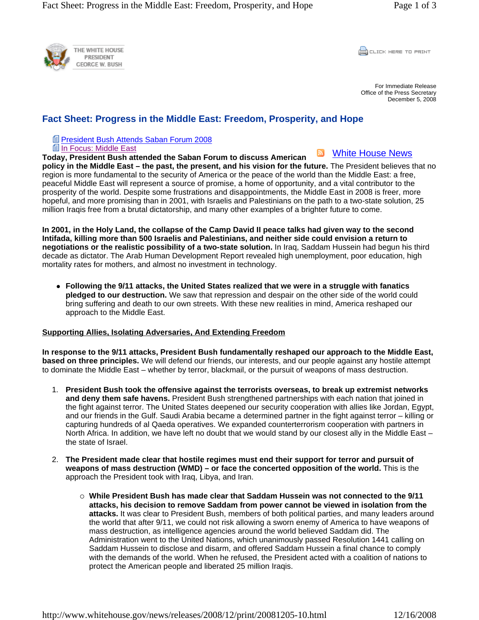

**CLICK HERE TO PRINT** 

For Immediate Release Office of the Press Secretary December 5, 2008

## **Fact Sheet: Progress in the Middle East: Freedom, Prosperity, and Hope**

**E President Bush Attends Saban Forum 2008** 

**In Focus: Middle East** 

**Today, President Bush attended the Saban Forum to discuss American policy in the Middle East – the past, the present, and his vision for the future.** The President believes that no region is more fundamental to the security of America or the peace of the world than the Middle East: a free, White House News

peaceful Middle East will represent a source of promise, a home of opportunity, and a vital contributor to the prosperity of the world. Despite some frustrations and disappointments, the Middle East in 2008 is freer, more hopeful, and more promising than in 2001, with Israelis and Palestinians on the path to a two-state solution, 25 million Iraqis free from a brutal dictatorship, and many other examples of a brighter future to come.

**In 2001, in the Holy Land, the collapse of the Camp David II peace talks had given way to the second Intifada, killing more than 500 Israelis and Palestinians, and neither side could envision a return to negotiations or the realistic possibility of a two-state solution.** In Iraq, Saddam Hussein had begun his third decade as dictator. The Arab Human Development Report revealed high unemployment, poor education, high mortality rates for mothers, and almost no investment in technology.

• Following the 9/11 attacks, the United States realized that we were in a struggle with fanatics **pledged to our destruction.** We saw that repression and despair on the other side of the world could bring suffering and death to our own streets. With these new realities in mind, America reshaped our approach to the Middle East.

## **Supporting Allies, Isolating Adversaries, And Extending Freedom**

**In response to the 9/11 attacks, President Bush fundamentally reshaped our approach to the Middle East, based on three principles.** We will defend our friends, our interests, and our people against any hostile attempt to dominate the Middle East – whether by terror, blackmail, or the pursuit of weapons of mass destruction.

- 1. **President Bush took the offensive against the terrorists overseas, to break up extremist networks and deny them safe havens.** President Bush strengthened partnerships with each nation that joined in the fight against terror. The United States deepened our security cooperation with allies like Jordan, Egypt, and our friends in the Gulf. Saudi Arabia became a determined partner in the fight against terror – killing or capturing hundreds of al Qaeda operatives. We expanded counterterrorism cooperation with partners in North Africa. In addition, we have left no doubt that we would stand by our closest ally in the Middle East – the state of Israel.
- 2. **The President made clear that hostile regimes must end their support for terror and pursuit of weapons of mass destruction (WMD) – or face the concerted opposition of the world.** This is the approach the President took with Iraq, Libya, and Iran.
	- { **While President Bush has made clear that Saddam Hussein was not connected to the 9/11 attacks, his decision to remove Saddam from power cannot be viewed in isolation from the attacks.** It was clear to President Bush, members of both political parties, and many leaders around the world that after 9/11, we could not risk allowing a sworn enemy of America to have weapons of mass destruction, as intelligence agencies around the world believed Saddam did. The Administration went to the United Nations, which unanimously passed Resolution 1441 calling on Saddam Hussein to disclose and disarm, and offered Saddam Hussein a final chance to comply with the demands of the world. When he refused, the President acted with a coalition of nations to protect the American people and liberated 25 million Iraqis.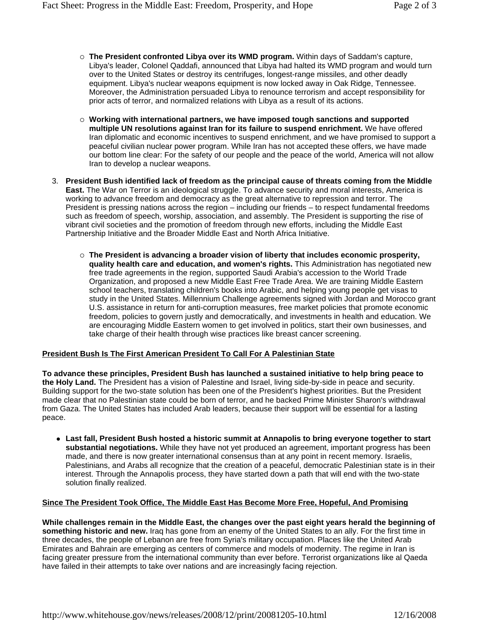- { **The President confronted Libya over its WMD program.** Within days of Saddam's capture, Libya's leader, Colonel Qaddafi, announced that Libya had halted its WMD program and would turn over to the United States or destroy its centrifuges, longest-range missiles, and other deadly equipment. Libya's nuclear weapons equipment is now locked away in Oak Ridge, Tennessee. Moreover, the Administration persuaded Libya to renounce terrorism and accept responsibility for prior acts of terror, and normalized relations with Libya as a result of its actions.
- { **Working with international partners, we have imposed tough sanctions and supported multiple UN resolutions against Iran for its failure to suspend enrichment.** We have offered Iran diplomatic and economic incentives to suspend enrichment, and we have promised to support a peaceful civilian nuclear power program. While Iran has not accepted these offers, we have made our bottom line clear: For the safety of our people and the peace of the world, America will not allow Iran to develop a nuclear weapons.
- 3. **President Bush identified lack of freedom as the principal cause of threats coming from the Middle East.** The War on Terror is an ideological struggle. To advance security and moral interests, America is working to advance freedom and democracy as the great alternative to repression and terror. The President is pressing nations across the region – including our friends – to respect fundamental freedoms such as freedom of speech, worship, association, and assembly. The President is supporting the rise of vibrant civil societies and the promotion of freedom through new efforts, including the Middle East Partnership Initiative and the Broader Middle East and North Africa Initiative.
	- { **The President is advancing a broader vision of liberty that includes economic prosperity, quality health care and education, and women's rights.** This Administration has negotiated new free trade agreements in the region, supported Saudi Arabia's accession to the World Trade Organization, and proposed a new Middle East Free Trade Area. We are training Middle Eastern school teachers, translating children's books into Arabic, and helping young people get visas to study in the United States. Millennium Challenge agreements signed with Jordan and Morocco grant U.S. assistance in return for anti-corruption measures, free market policies that promote economic freedom, policies to govern justly and democratically, and investments in health and education. We are encouraging Middle Eastern women to get involved in politics, start their own businesses, and take charge of their health through wise practices like breast cancer screening.

## **President Bush Is The First American President To Call For A Palestinian State**

**To advance these principles, President Bush has launched a sustained initiative to help bring peace to the Holy Land.** The President has a vision of Palestine and Israel, living side-by-side in peace and security. Building support for the two-state solution has been one of the President's highest priorities. But the President made clear that no Palestinian state could be born of terror, and he backed Prime Minister Sharon's withdrawal from Gaza. The United States has included Arab leaders, because their support will be essential for a lasting peace.

**• Last fall, President Bush hosted a historic summit at Annapolis to bring everyone together to start substantial negotiations.** While they have not yet produced an agreement, important progress has been made, and there is now greater international consensus than at any point in recent memory. Israelis, Palestinians, and Arabs all recognize that the creation of a peaceful, democratic Palestinian state is in their interest. Through the Annapolis process, they have started down a path that will end with the two-state solution finally realized.

## **Since The President Took Office, The Middle East Has Become More Free, Hopeful, And Promising**

**While challenges remain in the Middle East, the changes over the past eight years herald the beginning of something historic and new.** Iraq has gone from an enemy of the United States to an ally. For the first time in three decades, the people of Lebanon are free from Syria's military occupation. Places like the United Arab Emirates and Bahrain are emerging as centers of commerce and models of modernity. The regime in Iran is facing greater pressure from the international community than ever before. Terrorist organizations like al Qaeda have failed in their attempts to take over nations and are increasingly facing rejection.